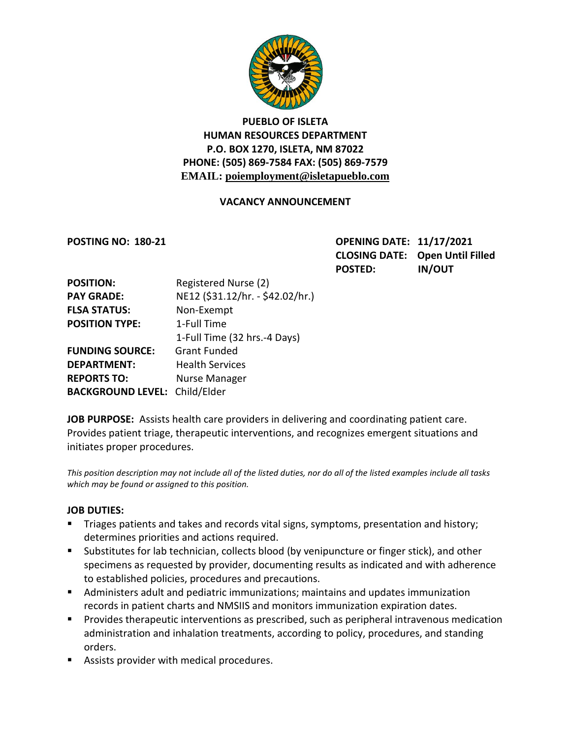

# **PUEBLO OF ISLETA HUMAN RESOURCES DEPARTMENT P.O. BOX 1270, ISLETA, NM 87022 PHONE: (505) 869-7584 FAX: (505) 869-7579 EMAIL: poiemployment@isletapueblo.com**

### **VACANCY ANNOUNCEMENT**

**POSTING NO: 180-21 OPENING DATE: 11/17/2021 CLOSING DATE: Open Until Filled POSTED: IN/OUT**

| <b>POSITION:</b>         | Registered Nurse (2)             |
|--------------------------|----------------------------------|
| <b>PAY GRADE:</b>        | NE12 (\$31.12/hr. - \$42.02/hr.) |
| <b>FLSA STATUS:</b>      | Non-Exempt                       |
| <b>POSITION TYPE:</b>    | 1-Full Time                      |
|                          | 1-Full Time (32 hrs.-4 Days)     |
| <b>FUNDING SOURCE:</b>   | <b>Grant Funded</b>              |
| <b>DEPARTMENT:</b>       | <b>Health Services</b>           |
| <b>REPORTS TO:</b>       | <b>Nurse Manager</b>             |
| <b>BACKGROUND LEVEL:</b> | Child/Elder                      |

**JOB PURPOSE:** Assists health care providers in delivering and coordinating patient care. Provides patient triage, therapeutic interventions, and recognizes emergent situations and initiates proper procedures.

*This position description may not include all of the listed duties, nor do all of the listed examples include all tasks which may be found or assigned to this position.*

### **JOB DUTIES:**

- **Triages patients and takes and records vital signs, symptoms, presentation and history;** determines priorities and actions required.
- Substitutes for lab technician, collects blood (by venipuncture or finger stick), and other specimens as requested by provider, documenting results as indicated and with adherence to established policies, procedures and precautions.
- Administers adult and pediatric immunizations; maintains and updates immunization records in patient charts and NMSIIS and monitors immunization expiration dates.
- **Provides therapeutic interventions as prescribed, such as peripheral intravenous medication** administration and inhalation treatments, according to policy, procedures, and standing orders.
- **Assists provider with medical procedures.**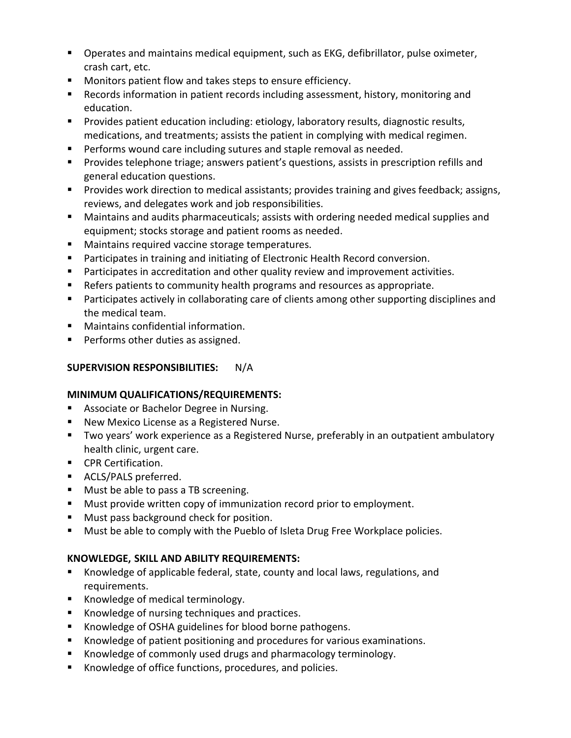- **Deamally 1** Operates and maintains medical equipment, such as EKG, defibrillator, pulse oximeter, crash cart, etc.
- Monitors patient flow and takes steps to ensure efficiency.
- Records information in patient records including assessment, history, monitoring and education.
- **Provides patient education including: etiology, laboratory results, diagnostic results,** medications, and treatments; assists the patient in complying with medical regimen.
- **Performs wound care including sutures and staple removal as needed.**
- **Provides telephone triage; answers patient's questions, assists in prescription refills and** general education questions.
- **Provides work direction to medical assistants; provides training and gives feedback; assigns,** reviews, and delegates work and job responsibilities.
- Maintains and audits pharmaceuticals; assists with ordering needed medical supplies and equipment; stocks storage and patient rooms as needed.
- **Maintains required vaccine storage temperatures.**
- **Participates in training and initiating of Electronic Health Record conversion.**
- **Participates in accreditation and other quality review and improvement activities.**
- Refers patients to community health programs and resources as appropriate.
- **Participates actively in collaborating care of clients among other supporting disciplines and** the medical team.
- Maintains confidential information.
- **Performs other duties as assigned.**

# **SUPERVISION RESPONSIBILITIES:** N/A

## **MINIMUM QUALIFICATIONS/REQUIREMENTS:**

- **Associate or Bachelor Degree in Nursing.**
- New Mexico License as a Registered Nurse.
- Two years' work experience as a Registered Nurse, preferably in an outpatient ambulatory health clinic, urgent care.
- **CPR Certification.**
- **ACLS/PALS preferred.**
- **Must be able to pass a TB screening.**
- **Must provide written copy of immunization record prior to employment.**
- **Must pass background check for position.**
- **Must be able to comply with the Pueblo of Isleta Drug Free Workplace policies.**

## **KNOWLEDGE, SKILL AND ABILITY REQUIREMENTS:**

- Knowledge of applicable federal, state, county and local laws, regulations, and requirements.
- Knowledge of medical terminology.
- Knowledge of nursing techniques and practices.
- **K**nowledge of OSHA guidelines for blood borne pathogens.
- Knowledge of patient positioning and procedures for various examinations.
- Knowledge of commonly used drugs and pharmacology terminology.
- Knowledge of office functions, procedures, and policies.